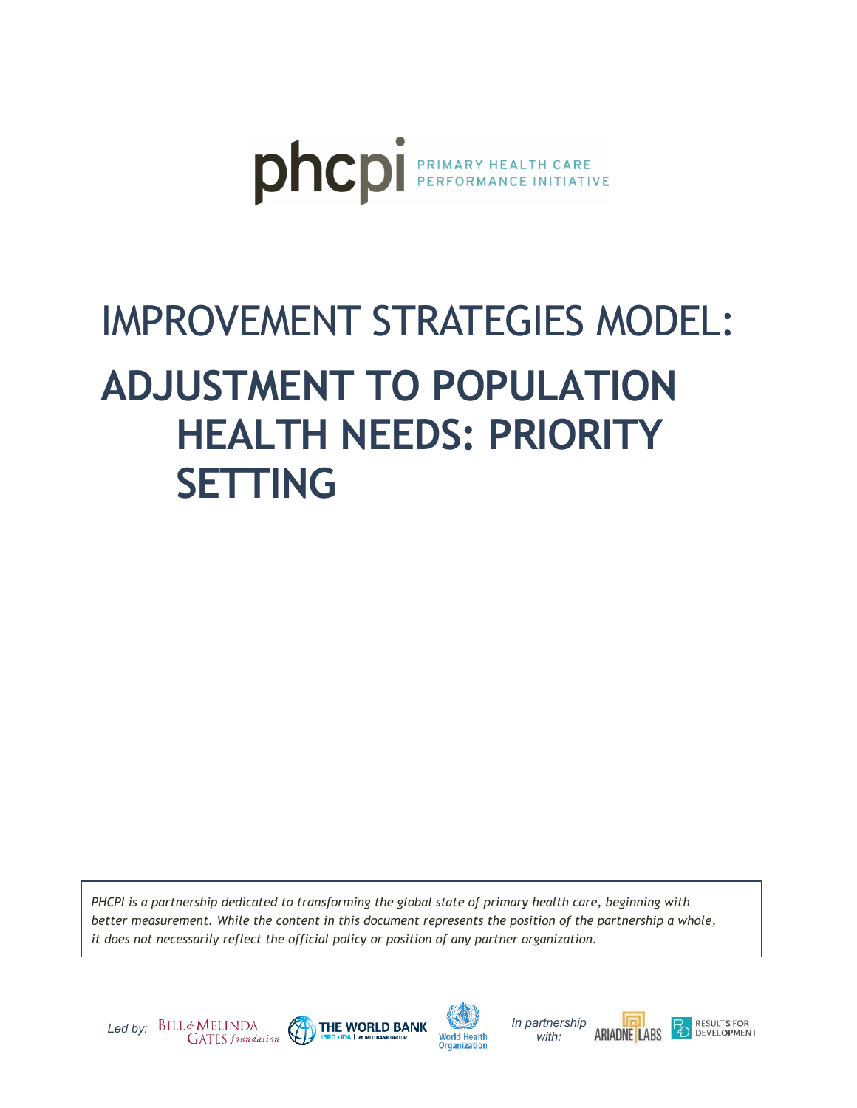

# IMPROVEMENT STRATEGIES MODEL: **ADJUSTMENT TO POPULATION HEALTH NEEDS: PRIORITY SETTING**

*PHCPI is a partnership dedicated to transforming the global state of primary health care, beginning with better measurement. While the content in this document represents the position of the partnership a whole, it does not necessarily reflect the official policy or position of any partner organization.*







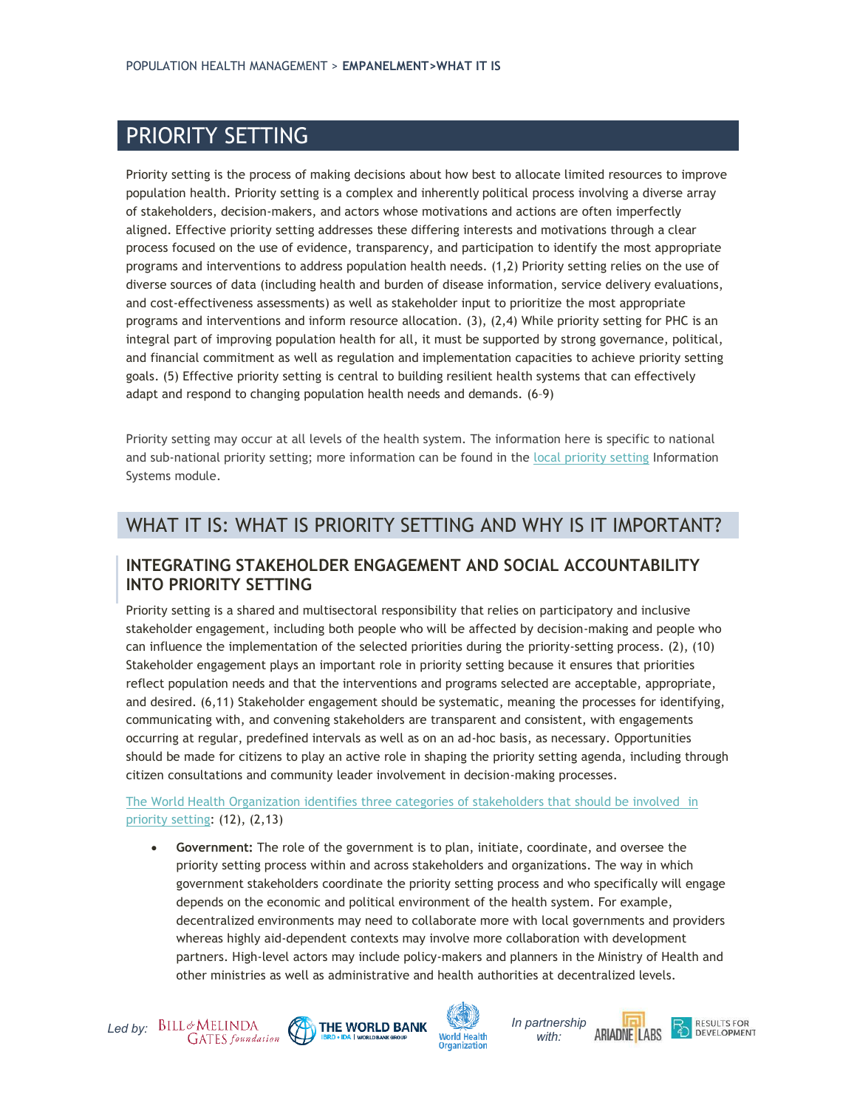## PRIORITY SETTING

Priority setting is the process of making decisions about how best to allocate limited resources to improve population health. Priority setting is a complex and inherently political process involving a diverse array of stakeholders, decision-makers, and actors whose motivations and actions are often imperfectly aligned. Effective priority setting addresses these differing interests and motivations through a clear process focused on the use of evidence, transparency, and participation to identify the most appropriate programs and interventions to address population health needs. [\(1,2\)](http://f1000.com/work/citation?ids=6824394,6226060&pre=&pre=&suf=&suf=&sa=0,0) Priority setting relies on the use of diverse sources of data (including health and burden of disease information, service delivery evaluations, and cost-effectiveness assessments) as well as stakeholder input to prioritize the most appropriate programs and interventions and inform resource allocation. [\(3\),](http://f1000.com/work/citation?ids=2354654&pre=&suf=&sa=0) [\(2,4\)](http://f1000.com/work/citation?ids=2354648,6226060&pre=&pre=&suf=&suf=&sa=0,0) While priority setting for PHC is an integral part of improving population health for all, it must be supported by strong governance, political, and financial commitment as well as regulation and implementation capacities to achieve priority setting goals. [\(5\)](http://f1000.com/work/citation?ids=1628668&pre=&suf=&sa=0) Effective priority setting is central to building resilient health systems that can effectively adapt and respond to changing population health needs and demands. [\(6](http://f1000.com/work/citation?ids=5959663,5259526,6824475,4771242&pre=&pre=&pre=&pre=&suf=&suf=&suf=&suf=&sa=0,0,0,0)–9)

Priority setting may occur at all levels of the health system. The information here is specific to national and sub-national priority setting; more information can be found in the [local priority setting](https://improvingphc.org/improvement-strategies/population-health-management/local-priority-setting) Information Systems module.

## WHAT IT IS: WHAT IS PRIORITY SETTING AND WHY IS IT IMPORTANT?

#### **INTEGRATING STAKEHOLDER ENGAGEMENT AND SOCIAL ACCOUNTABILITY INTO PRIORITY SETTING**

Priority setting is a shared and multisectoral responsibility that relies on participatory and inclusive stakeholder engagement, including both people who will be affected by decision-making and people who can influence the implementation of the selected priorities during the priority-setting process. [\(2\),](http://f1000.com/work/citation?ids=6226060&pre=&suf=&sa=0) [\(10\)](http://f1000.com/work/citation?ids=6649304&pre=&suf=&sa=0) Stakeholder engagement plays an important role in priority setting because it ensures that priorities reflect population needs and that the interventions and programs selected are acceptable, appropriate, and desired. [\(6,11\)](http://f1000.com/work/citation?ids=5959663,6615706&pre=&pre=&suf=&suf=&sa=0,0) Stakeholder engagement should be systematic, meaning the processes for identifying, communicating with, and convening stakeholders are transparent and consistent, with engagements occurring at regular, predefined intervals as well as on an ad-hoc basis, as necessary. Opportunities should be made for citizens to play an active role in shaping the priority setting agenda, including through citizen consultations and community leader involvement in decision-making processes.

#### [The World Health Organization identifies three categories of stakeholders that should be involved](http://www.who.int/healthsystems/publications/nhpsp-handbook-ch4/en/) in [priority setting:](http://www.who.int/healthsystems/publications/nhpsp-handbook-ch4/en/) [\(12\),](http://f1000.com/work/citation?ids=6652584&pre=&suf=&sa=0) [\(2,13\)](http://f1000.com/work/citation?ids=6226060,6600495&pre=&pre=&suf=&suf=&sa=0,0)

• **Government:** The role of the government is to plan, initiate, coordinate, and oversee the priority setting process within and across stakeholders and organizations. The way in which government stakeholders coordinate the priority setting process and who specifically will engage depends on the economic and political environment of the health system. For example, decentralized environments may need to collaborate more with local governments and providers whereas highly aid-dependent contexts may involve more collaboration with development partners. High-level actors may include policy-makers and planners in the Ministry of Health and other ministries as well as administrative and health authorities at decentralized levels.







**ARIADNE LABS**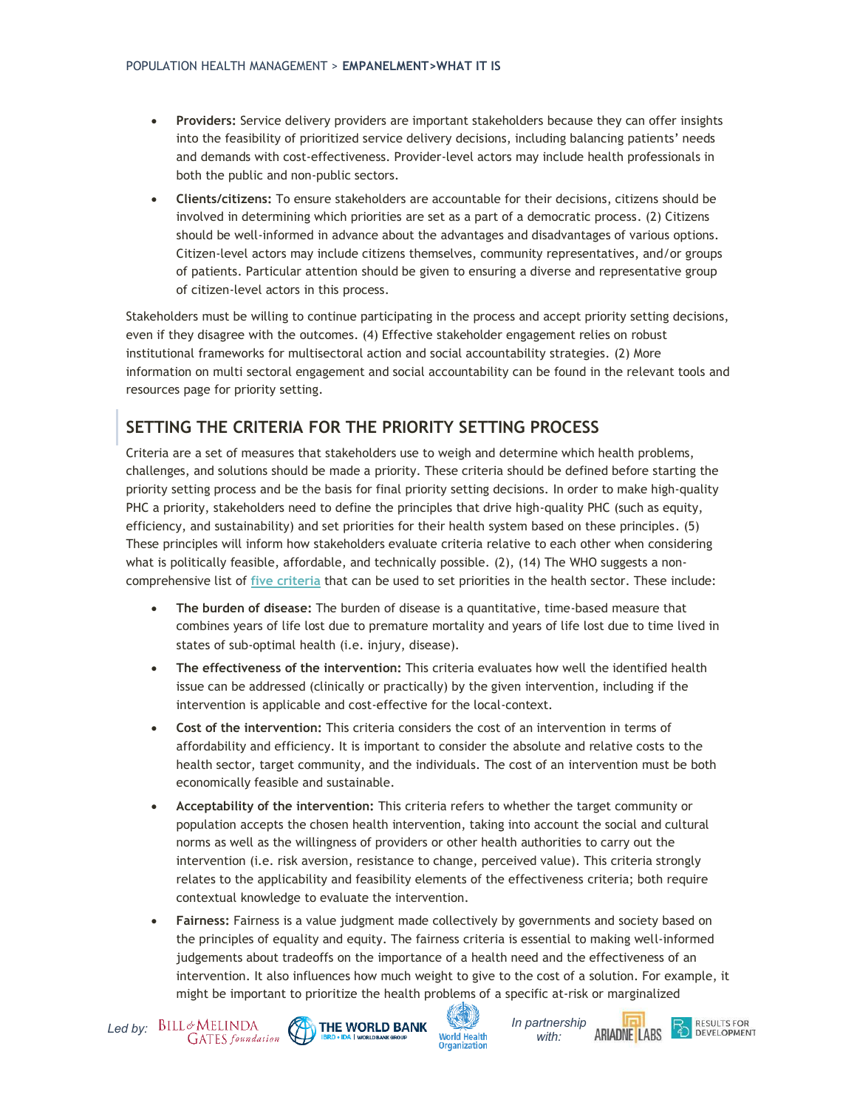- **Providers:** Service delivery providers are important stakeholders because they can offer insights into the feasibility of prioritized service delivery decisions, including balancing patients' needs and demands with cost-effectiveness. Provider-level actors may include health professionals in both the public and non-public sectors.
- **Clients/citizens:** To ensure stakeholders are accountable for their decisions, citizens should be involved in determining which priorities are set as a part of a democratic process. [\(2\)](http://f1000.com/work/citation?ids=6226060&pre=&suf=&sa=0) Citizens should be well-informed in advance about the advantages and disadvantages of various options. Citizen-level actors may include citizens themselves, community representatives, and/or groups of patients. Particular attention should be given to ensuring a diverse and representative group of citizen-level actors in this process.

Stakeholders must be willing to continue participating in the process and accept priority setting decisions, even if they disagree with the outcomes[. \(4\)](http://f1000.com/work/citation?ids=2354648&pre=&suf=&sa=0) Effective stakeholder engagement relies on robust institutional frameworks for multisectoral action and social accountability strategies. [\(2\)](http://f1000.com/work/citation?ids=6226060&pre=&suf=&sa=0) More information on multi sectoral engagement and social accountability can be found in the relevant tools and resources page for priority setting.

## **SETTING THE CRITERIA FOR THE PRIORITY SETTING PROCESS**

Criteria are a set of measures that stakeholders use to weigh and determine which health problems, challenges, and solutions should be made a priority. These criteria should be defined before starting the priority setting process and be the basis for final priority setting decisions. In order to make high-quality PHC a priority, stakeholders need to define the principles that drive high-quality PHC (such as equity, efficiency, and sustainability) and set priorities for their health system based on these principles[. \(5\)](http://f1000.com/work/citation?ids=1628668&pre=&suf=&sa=0) These principles will inform how stakeholders evaluate criteria relative to each other when considering what is politically feasible, affordable, and technically possible. [\(2\),](http://f1000.com/work/citation?ids=6226060&pre=&suf=&sa=0) [\(14\)](http://f1000.com/work/citation?ids=5715052&pre=&suf=&sa=0) The WHO suggests a noncomprehensive list of **[five criteria](https://www.who.int/healthsystems/publications/nhpsp-handbook-ch4/en/)** that can be used to set priorities in the health sector. These include:

- **The burden of disease:** The burden of disease is a quantitative, time-based measure that combines years of life lost due to premature mortality and years of life lost due to time lived in states of sub-optimal health (i.e. injury, disease).
- **The effectiveness of the intervention:** This criteria evaluates how well the identified health issue can be addressed (clinically or practically) by the given intervention, including if the intervention is applicable and cost-effective for the local-context.
- **Cost of the intervention:** This criteria considers the cost of an intervention in terms of affordability and efficiency. It is important to consider the absolute and relative costs to the health sector, target community, and the individuals. The cost of an intervention must be both economically feasible and sustainable.
- **Acceptability of the intervention:** This criteria refers to whether the target community or population accepts the chosen health intervention, taking into account the social and cultural norms as well as the willingness of providers or other health authorities to carry out the intervention (i.e. risk aversion, resistance to change, perceived value). This criteria strongly relates to the applicability and feasibility elements of the effectiveness criteria; both require contextual knowledge to evaluate the intervention.
- **Fairness:** Fairness is a value judgment made collectively by governments and society based on the principles of equality and equity. The fairness criteria is essential to making well-informed judgements about tradeoffs on the importance of a health need and the effectiveness of an intervention. It also influences how much weight to give to the cost of a solution. For example, it might be important to prioritize the health problems of a specific at-risk or marginalized





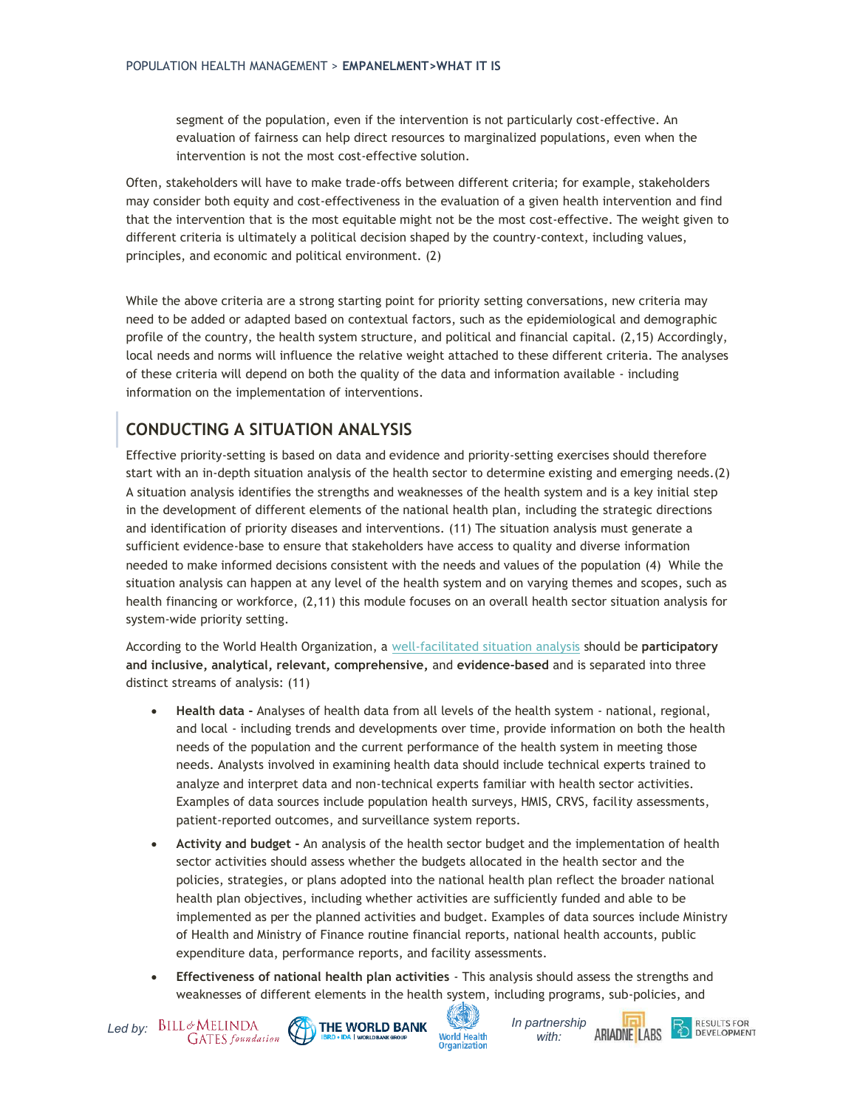segment of the population, even if the intervention is not particularly cost-effective. An evaluation of fairness can help direct resources to marginalized populations, even when the intervention is not the most cost-effective solution.

Often, stakeholders will have to make trade-offs between different criteria; for example, stakeholders may consider both equity and cost-effectiveness in the evaluation of a given health intervention and find that the intervention that is the most equitable might not be the most cost-effective. The weight given to different criteria is ultimately a political decision shaped by the country-context, including values, principles, and economic and political environment. [\(2\)](http://f1000.com/work/citation?ids=6226060&pre=&suf=&sa=0)

While the above criteria are a strong starting point for priority setting conversations, new criteria may need to be added or adapted based on contextual factors, such as the epidemiological and demographic profile of the country, the health system structure, and political and financial capital. [\(2,15\)](http://f1000.com/work/citation?ids=6226060,726183&pre=&pre=&suf=&suf=&sa=0,0) Accordingly, local needs and norms will influence the relative weight attached to these different criteria. The analyses of these criteria will depend on both the quality of the data and information available - including information on the implementation of interventions.

## **CONDUCTING A SITUATION ANALYSIS**

Effective priority-setting is based on data and evidence and priority-setting exercises should therefore start with an in-depth situation analysis of the health sector to determine existing and emerging needs[.\(2\)](http://f1000.com/work/citation?ids=6226060&pre=&suf=&sa=0) A situation analysis identifies the strengths and weaknesses of the health system and is a key initial step in the development of different elements of the national health plan, including the strategic directions and identification of priority diseases and interventions. [\(11\)](http://f1000.com/work/citation?ids=6615706&pre=&suf=&sa=0) The situation analysis must generate a sufficient evidence-base to ensure that stakeholders have access to quality and diverse information needed to make informed decisions consistent with the needs and values of the population [\(4\)](http://f1000.com/work/citation?ids=2354648&pre=&suf=&sa=0) While the situation analysis can happen at any level of the health system and on varying themes and scopes, such as health financing or workforce, [\(2,11\)](http://f1000.com/work/citation?ids=6226060,6615706&pre=&pre=&suf=&suf=&sa=0,0) this module focuses on an overall health sector situation analysis for system-wide priority setting.

According to the World Health Organization, a [well-facilitated situation analysis](https://apps.who.int/iris/bitstream/handle/10665/250221/9789241549745-chapter3-eng.pdf) should be **participatory and inclusive, analytical, relevant, comprehensive,** and **evidence-based** and is separated into three distinct streams of analysis: [\(11\)](http://f1000.com/work/citation?ids=6615706&pre=&suf=&sa=0)

- **Health data -** Analyses of health data from all levels of the health system national, regional, and local - including trends and developments over time, provide information on both the health needs of the population and the current performance of the health system in meeting those needs. Analysts involved in examining health data should include technical experts trained to analyze and interpret data and non-technical experts familiar with health sector activities. Examples of data sources include population health surveys, HMIS, CRVS, facility assessments, patient-reported outcomes, and surveillance system reports.
- **Activity and budget -** An analysis of the health sector budget and the implementation of health sector activities should assess whether the budgets allocated in the health sector and the policies, strategies, or plans adopted into the national health plan reflect the broader national health plan objectives, including whether activities are sufficiently funded and able to be implemented as per the planned activities and budget. Examples of data sources include Ministry of Health and Ministry of Finance routine financial reports, national health accounts, public expenditure data, performance reports, and facility assessments.
- **Effectiveness of national health plan activities** This analysis should assess the strengths and weaknesses of different elements in the health system, including programs, sub-policies, and









**DEVELOPMENT**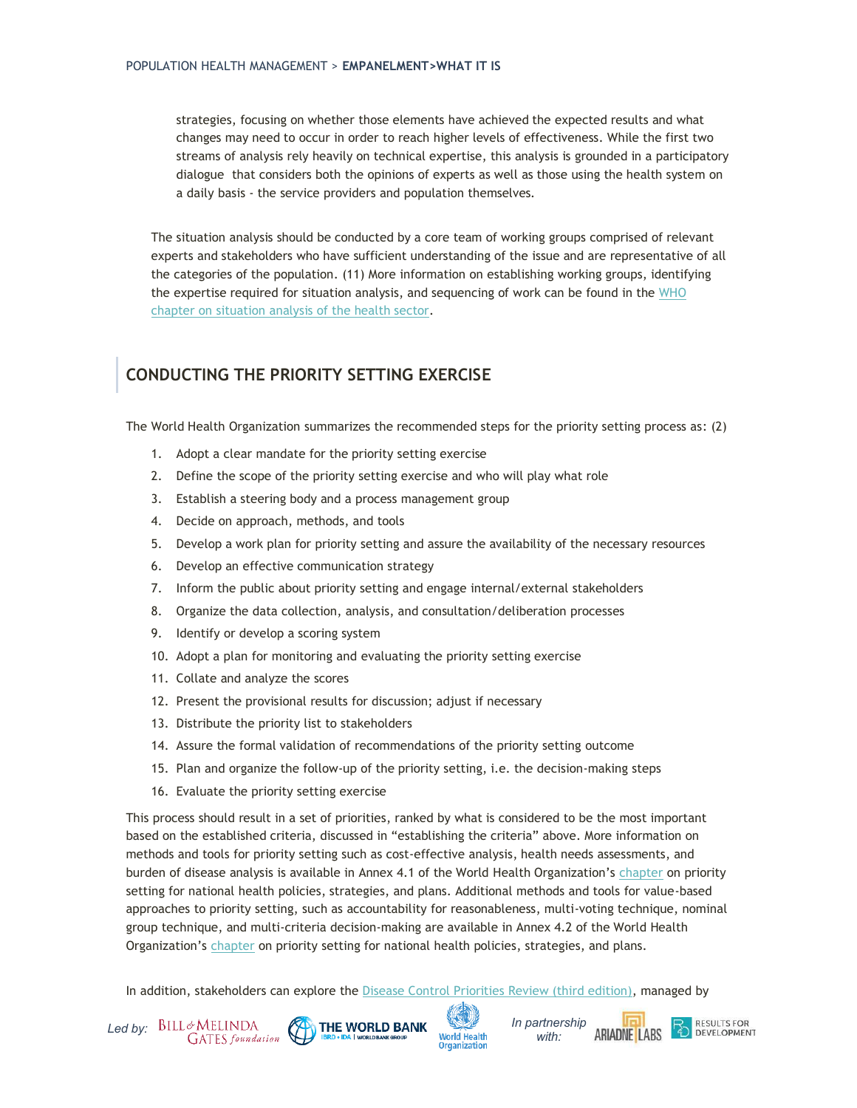strategies, focusing on whether those elements have achieved the expected results and what changes may need to occur in order to reach higher levels of effectiveness. While the first two streams of analysis rely heavily on technical expertise, this analysis is grounded in a participatory dialogue that considers both the opinions of experts as well as those using the health system on a daily basis - the service providers and population themselves.

The situation analysis should be conducted by a core team of working groups comprised of relevant experts and stakeholders who have sufficient understanding of the issue and are representative of all the categories of the population. [\(11\)](http://f1000.com/work/citation?ids=6615706&pre=&suf=&sa=0) More information on establishing working groups, identifying the expertise required for situation analysis, and sequencing of work can be found in the WHO [chapter on situation analysis of the health sector.](https://www.who.int/healthsystems/publications/nhpsp-handbook-ch3/en/)

## **CONDUCTING THE PRIORITY SETTING EXERCISE**

The World Health Organization summarizes the recommended steps for the priority setting process as[: \(2\)](http://f1000.com/work/citation?ids=6226060&pre=&suf=&sa=0)

- 1. Adopt a clear mandate for the priority setting exercise
- 2. Define the scope of the priority setting exercise and who will play what role
- 3. Establish a steering body and a process management group
- 4. Decide on approach, methods, and tools
- 5. Develop a work plan for priority setting and assure the availability of the necessary resources
- 6. Develop an effective communication strategy
- 7. Inform the public about priority setting and engage internal/external stakeholders
- 8. Organize the data collection, analysis, and consultation/deliberation processes
- 9. Identify or develop a scoring system
- 10. Adopt a plan for monitoring and evaluating the priority setting exercise
- 11. Collate and analyze the scores
- 12. Present the provisional results for discussion; adjust if necessary
- 13. Distribute the priority list to stakeholders
- 14. Assure the formal validation of recommendations of the priority setting outcome
- 15. Plan and organize the follow-up of the priority setting, i.e. the decision-making steps
- 16. Evaluate the priority setting exercise

This process should result in a set of priorities, ranked by what is considered to be the most important based on the established criteria, discussed in "establishing the criteria" above. More information on methods and tools for priority setting such as cost-effective analysis, health needs assessments, and burden of disease analysis is available in Annex 4.1 of the World Health Organization's [chapter](https://apps.who.int/iris/bitstream/handle/10665/250221/9789241549745-chapter4-eng.pdf?sequence=36) on priority setting for national health policies, strategies, and plans. Additional methods and tools for value-based approaches to priority setting, such as accountability for reasonableness, multi-voting technique, nominal group technique, and multi-criteria decision-making are available in Annex 4.2 of the World Health Organization's [chapter](https://apps.who.int/iris/bitstream/handle/10665/250221/9789241549745-chapter4-eng.pdf?sequence=36) on priority setting for national health policies, strategies, and plans.

In addition, stakeholders can explore the [Disease Control Priorities Review \(third edition\),](http://dcp-3.org/about-project) managed by





*with:* 

**ARIADNE LABS** 

**RESULTS FOR** 

**DEVELOPMENT**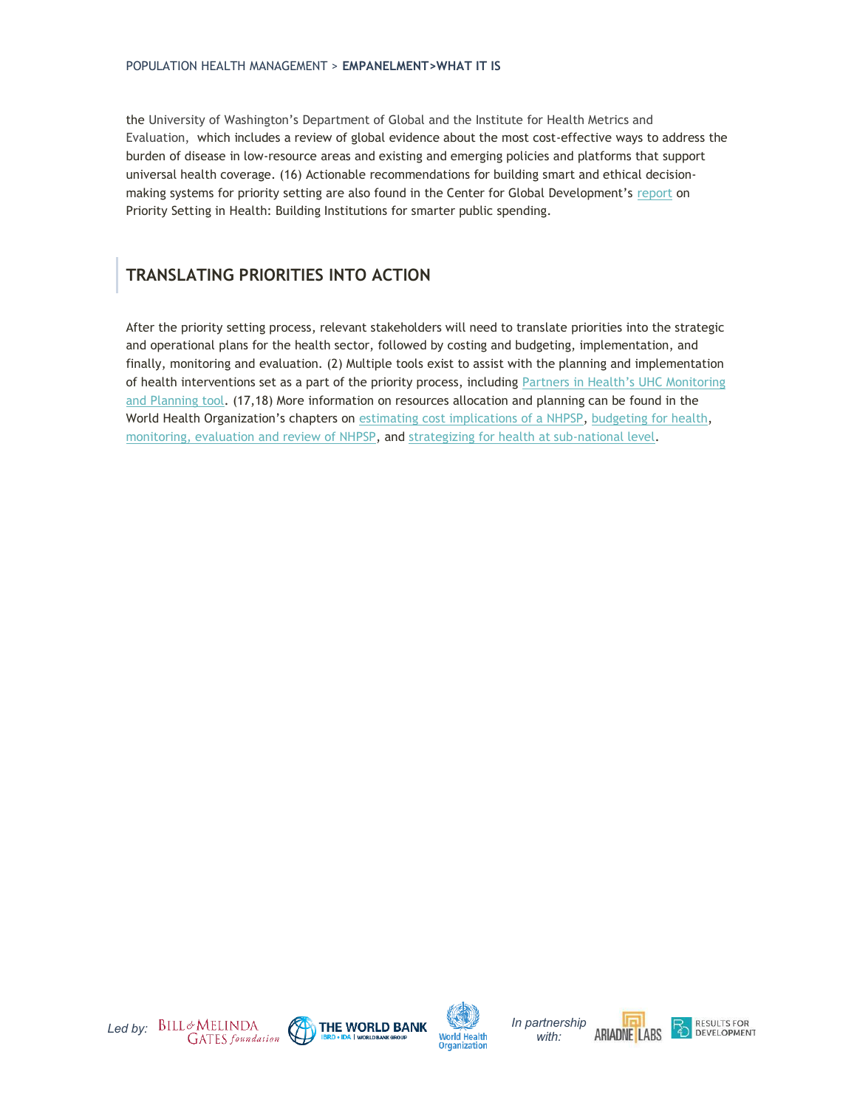the University of Washington's Department of Global and the Institute for Health Metrics and Evaluation, which includes a review of global evidence about the most cost-effective ways to address the burden of disease in low-resource areas and existing and emerging policies and platforms that support universal health coverage[. \(16\)](http://f1000.com/work/citation?ids=6885565&pre=&suf=&sa=0) Actionable recommendations for building smart and ethical decisionmaking systems for priority setting are also found in the Center for Global Development's [report](https://www.cgdev.org/publication/priority-setting-health-building-institutions-smarter-public-spending) on Priority Setting in Health: Building Institutions for smarter public spending.

## **TRANSLATING PRIORITIES INTO ACTION**

After the priority setting process, relevant stakeholders will need to translate priorities into the strategic and operational plans for the health sector, followed by costing and budgeting, implementation, and finally, monitoring and evaluation. [\(2\)](http://f1000.com/work/citation?ids=6226060&pre=&suf=&sa=0) Multiple tools exist to assist with the planning and implementation of health interventions set as a part of the priority process, including Partners in He[alth's UHC Monitoring](https://www.pih.org/practitioner-resource/universal-health-coverage-monitoring-planning-tool)  [and Planning tool.](https://www.pih.org/practitioner-resource/universal-health-coverage-monitoring-planning-tool) [\(17,18\)](http://f1000.com/work/citation?ids=6663079,6662396&pre=&pre=&suf=&suf=&sa=0,0) More information on resources allocation and planning can be found in the World Health Organization's chapters on [estimating cost implications of a NHPSP,](https://www.who.int/entity/healthsystems/publications/nhpsp-handbook-ch7/en/index.html) [budgeting for health,](https://www.who.int/entity/healthsystems/publications/nhpsp-handbook-ch8/en/index.html) [monitoring, evaluation and review of NHPSP,](https://www.who.int/entity/healthsystems/publications/nhpsp-handbook-ch9/en/index.html) and [strategizing for health at sub-national level.](https://www.who.int/entity/healthsystems/publications/nhpsp-handbook-ch11/en/index.html)







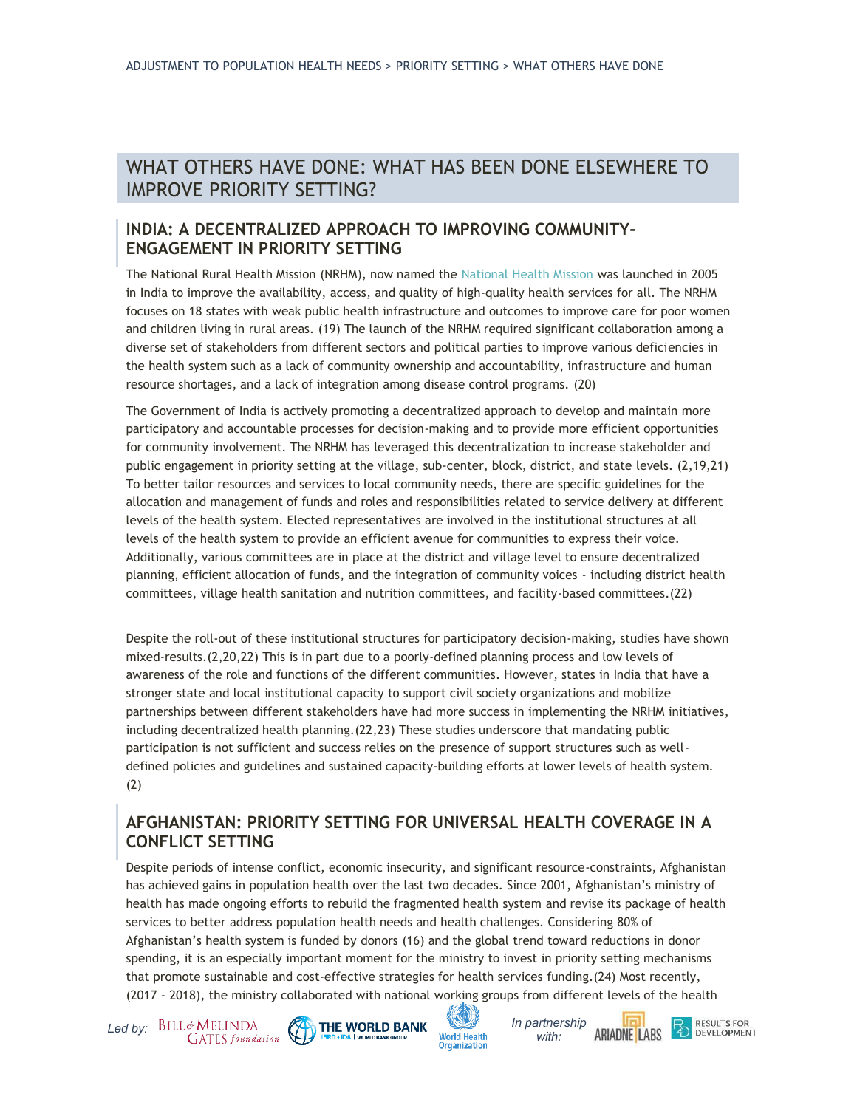## WHAT OTHERS HAVE DONE: WHAT HAS BEEN DONE ELSEWHERE TO IMPROVE PRIORITY SETTING?

#### **INDIA: A DECENTRALIZED APPROACH TO IMPROVING COMMUNITY-ENGAGEMENT IN PRIORITY SETTING**

The National Rural Health Mission (NRHM), now named the [National Health Mission](https://nhm.gov.in/) was launched in 2005 in India to improve the availability, access, and quality of high-quality health services for all. The NRHM focuses on 18 states with weak public health infrastructure and outcomes to improve care for poor women and children living in rural areas. [\(19\)](http://f1000.com/work/citation?ids=7068309&pre=&suf=&sa=0) The launch of the NRHM required significant collaboration among a diverse set of stakeholders from different sectors and political parties to improve various deficiencies in the health system such as a lack of community ownership and accountability, infrastructure and human resource shortages, and a lack of integration among disease control programs. [\(20\)](http://f1000.com/work/citation?ids=7068342&pre=&suf=&sa=0)

The Government of India is actively promoting a decentralized approach to develop and maintain more participatory and accountable processes for decision-making and to provide more efficient opportunities for community involvement. The NRHM has leveraged this decentralization to increase stakeholder and public engagement in priority setting at the village, sub-center, block, district, and state levels[. \(2,19,21\)](http://f1000.com/work/citation?ids=3062304,7068309,6226060&pre=&pre=&pre=&suf=&suf=&suf=&sa=0,0,0) To better tailor resources and services to local community needs, there are specific guidelines for the allocation and management of funds and roles and responsibilities related to service delivery at different levels of the health system. Elected representatives are involved in the institutional structures at all levels of the health system to provide an efficient avenue for communities to express their voice. Additionally, various committees are in place at the district and village level to ensure decentralized planning, efficient allocation of funds, and the integration of community voices - including district health committees, village health sanitation and nutrition committees, and facility-based committees[.\(22\)](http://f1000.com/work/citation?ids=7068450&pre=&suf=&sa=0)

Despite the roll-out of these institutional structures for participatory decision-making, studies have shown mixed-results[.\(2,20,22\)](http://f1000.com/work/citation?ids=6226060,7068450,7068342&pre=&pre=&pre=&suf=&suf=&suf=&sa=0,0,0) This is in part due to a poorly-defined planning process and low levels of awareness of the role and functions of the different communities. However, states in India that have a stronger state and local institutional capacity to support civil society organizations and mobilize partnerships between different stakeholders have had more success in implementing the NRHM initiatives, including decentralized health planning[.\(22,23\)](http://f1000.com/work/citation?ids=7068450,4705425&pre=&pre=&suf=&suf=&sa=0,0) These studies underscore that mandating public participation is not sufficient and success relies on the presence of support structures such as welldefined policies and guidelines and sustained capacity-building efforts at lower levels of health system. [\(2\)](http://f1000.com/work/citation?ids=6226060&pre=&suf=&sa=0)

#### **AFGHANISTAN: PRIORITY SETTING FOR UNIVERSAL HEALTH COVERAGE IN A CONFLICT SETTING**

Despite periods of intense conflict, economic insecurity, and significant resource-constraints, Afghanistan has achieved gains in population health over the last two decades. Since 2001, Afghanistan's ministry of health has made ongoing efforts to rebuild the fragmented health system and revise its package of health services to better address population health needs and health challenges. Considering 80% of Afghanistan's health system is funded by donors [\(16\)](http://f1000.com/work/citation?ids=6885565&pre=&suf=&sa=0) and the global trend toward reductions in donor spending, it is an especially important moment for the ministry to invest in priority setting mechanisms that promote sustainable and cost-effective strategies for health services funding[.\(24\)](http://f1000.com/work/citation?ids=7035495&pre=&suf=&sa=0) Most recently, (2017 - 2018), the ministry collaborated with national working groups from different levels of the health







*with:* 

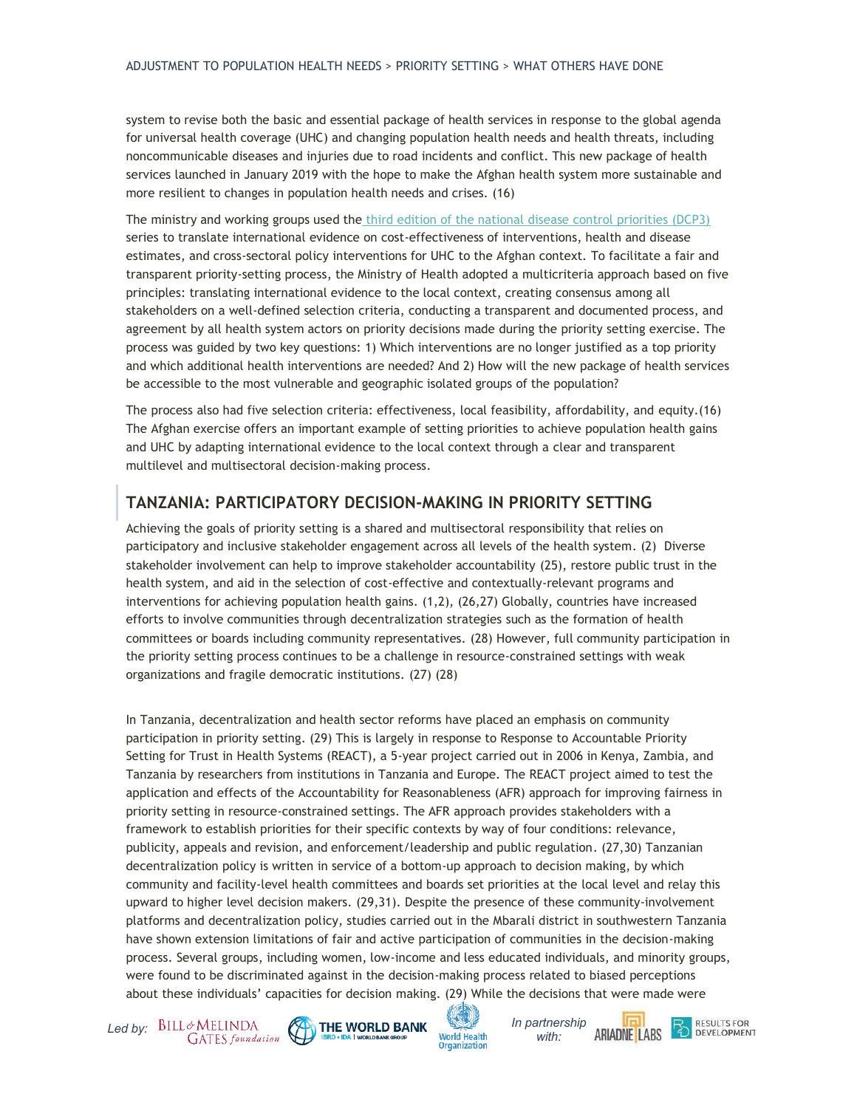system to revise both the basic and essential package of health services in response to the global agenda for universal health coverage (UHC) and changing population health needs and health threats, including noncommunicable diseases and injuries due to road incidents and conflict. This new package of health services launched in January 2019 with the hope to make the Afghan health system more sustainable and more resilient to changes in population health needs and crises. [\(16\)](http://f1000.com/work/citation?ids=6885565&pre=&suf=&sa=0)

The ministry and working groups used the [third edition of the national disease control priorities \(DCP3\)](http://dcp-3.org/) series to translate international evidence on cost-effectiveness of interventions, health and disease estimates, and cross-sectoral policy interventions for UHC to the Afghan context. To facilitate a fair and transparent priority-setting process, the Ministry of Health adopted a multicriteria approach based on five principles: translating international evidence to the local context, creating consensus among all stakeholders on a well-defined selection criteria, conducting a transparent and documented process, and agreement by all health system actors on priority decisions made during the priority setting exercise. The process was guided by two key questions: 1) Which interventions are no longer justified as a top priority and which additional health interventions are needed? And 2) How will the new package of health services be accessible to the most vulnerable and geographic isolated groups of the population?

The process also had five selection criteria: effectiveness, local feasibility, affordability, and equity[.\(16\)](http://f1000.com/work/citation?ids=6885565&pre=&suf=&sa=0) The Afghan exercise offers an important example of setting priorities to achieve population health gains and UHC by adapting international evidence to the local context through a clear and transparent multilevel and multisectoral decision-making process.

#### **TANZANIA: PARTICIPATORY DECISION-MAKING IN PRIORITY SETTING**

Achieving the goals of priority setting is a shared and multisectoral responsibility that relies on participatory and inclusive stakeholder engagement across all levels of the health system[. \(2\)](http://f1000.com/work/citation?ids=6226060&pre=&suf=&sa=0) Diverse stakeholder involvement can help to improve stakeholder accountability [\(25\),](http://f1000.com/work/citation?ids=7035521&pre=&suf=&sa=0) restore public trust in the health system, and aid in the selection of cost-effective and contextually-relevant programs and interventions for achieving population health gains. [\(1,2\),](http://f1000.com/work/citation?ids=6824394,6226060&pre=&pre=&suf=&suf=&sa=0,0) [\(26,27\)](http://f1000.com/work/citation?ids=7035520,5715695&pre=&pre=&suf=&suf=&sa=0,0) Globally, countries have increased efforts to involve communities through decentralization strategies such as the formation of health committees or boards including community representatives. [\(28\)](http://f1000.com/work/citation?ids=7035891&pre=&suf=&sa=0) However, full community participation in the priority setting process continues to be a challenge in resource-constrained settings with weak organizations and fragile democratic institutions. [\(27\)](http://f1000.com/work/citation?ids=5715695&pre=&suf=&sa=0) [\(28\)](http://f1000.com/work/citation?ids=7035891&pre=&suf=&sa=0)

In Tanzania, decentralization and health sector reforms have placed an emphasis on community participation in priority setting. [\(29\)](http://f1000.com/work/citation?ids=7035883&pre=&suf=&sa=0) This is largely in response to Response to Accountable Priority Setting for Trust in Health Systems (REACT), a 5-year project carried out in 2006 in Kenya, Zambia, and Tanzania by researchers from institutions in Tanzania and Europe. The REACT project aimed to test the application and effects of the Accountability for Reasonableness (AFR) approach for improving fairness in priority setting in resource-constrained settings. The AFR approach provides stakeholders with a framework to establish priorities for their specific contexts by way of four conditions: relevance, publicity, appeals and revision, and enforcement/leadership and public regulation[. \(27,30\)](http://f1000.com/work/citation?ids=5715695,7035512&pre=&pre=&suf=&suf=&sa=0,0) Tanzanian decentralization policy is written in service of a bottom-up approach to decision making, by which community and facility-level health committees and boards set priorities at the local level and relay this upward to higher level decision makers. [\(29,31\).](http://f1000.com/work/citation?ids=7035883,7035882&pre=&pre=&suf=&suf=&sa=0,0) Despite the presence of these community-involvement platforms and decentralization policy, studies carried out in the Mbarali district in southwestern Tanzania have shown extension limitations of fair and active participation of communities in the decision-making process. Several groups, including women, low-income and less educated individuals, and minority groups, were found to be discriminated against in the decision-making process related to biased perceptions about these individuals' capacities for decision making[. \(29\)](http://f1000.com/work/citation?ids=7035883&pre=&suf=&sa=0) While the decisions that were made were







*with:* 

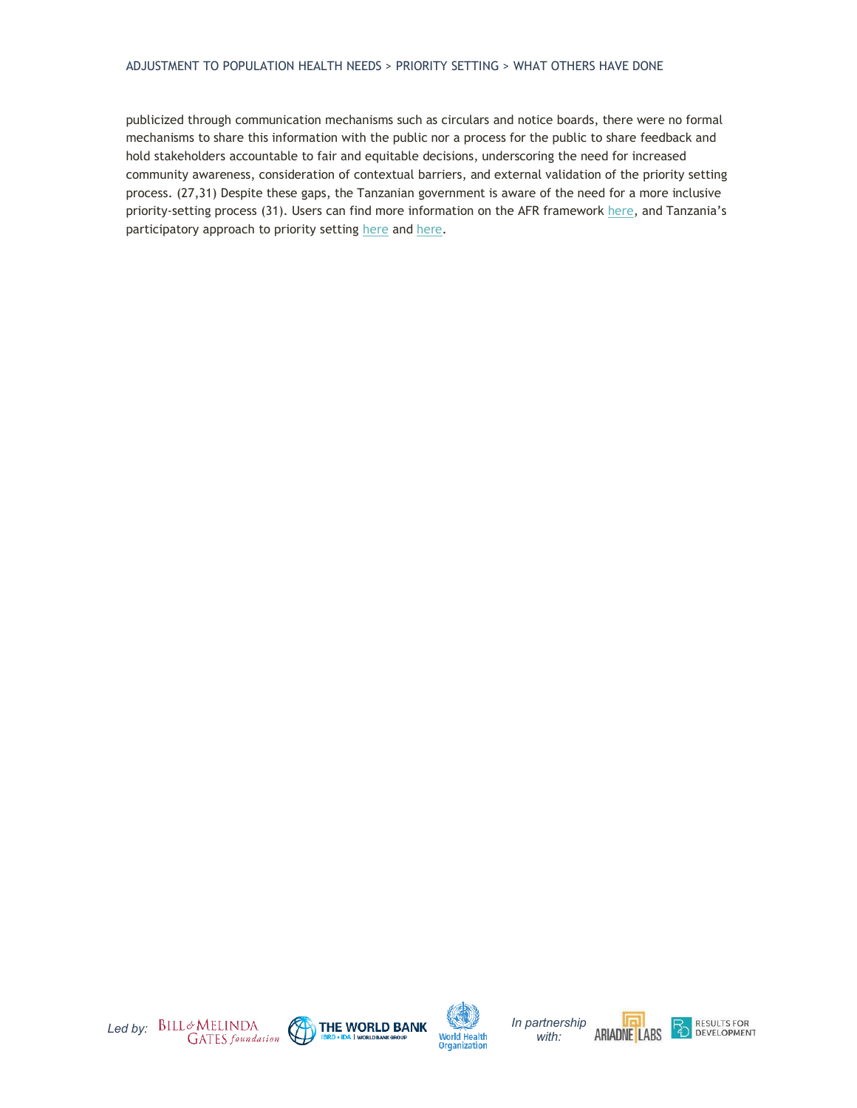#### ADJUSTMENT TO POPULATION HEALTH NEEDS > PRIORITY SETTING > WHAT OTHERS HAVE DONE

publicized through communication mechanisms such as circulars and notice boards, there were no formal mechanisms to share this information with the public nor a process for the public to share feedback and hold stakeholders accountable to fair and equitable decisions, underscoring the need for increased community awareness, consideration of contextual barriers, and external validation of the priority setting process. [\(27,31\)](http://f1000.com/work/citation?ids=7035882,5715695&pre=&pre=&suf=&suf=&sa=0,0) Despite these gaps, the Tanzanian government is aware of the need for a more inclusive priority-setting process [\(31\).](http://f1000.com/work/citation?ids=7035882&pre=&suf=&sa=0) Users can find more information on the AFR framework [here](https://health-policy-systems.biomedcentral.com/articles/10.1186/1478-4505-12-49), and Tanzania's participatory approach to priority setting [here](https://www.ncbi.nlm.nih.gov/pmc/articles/PMC3841300/) an[d here.](https://www.ncbi.nlm.nih.gov/pmc/articles/PMC6234591/)







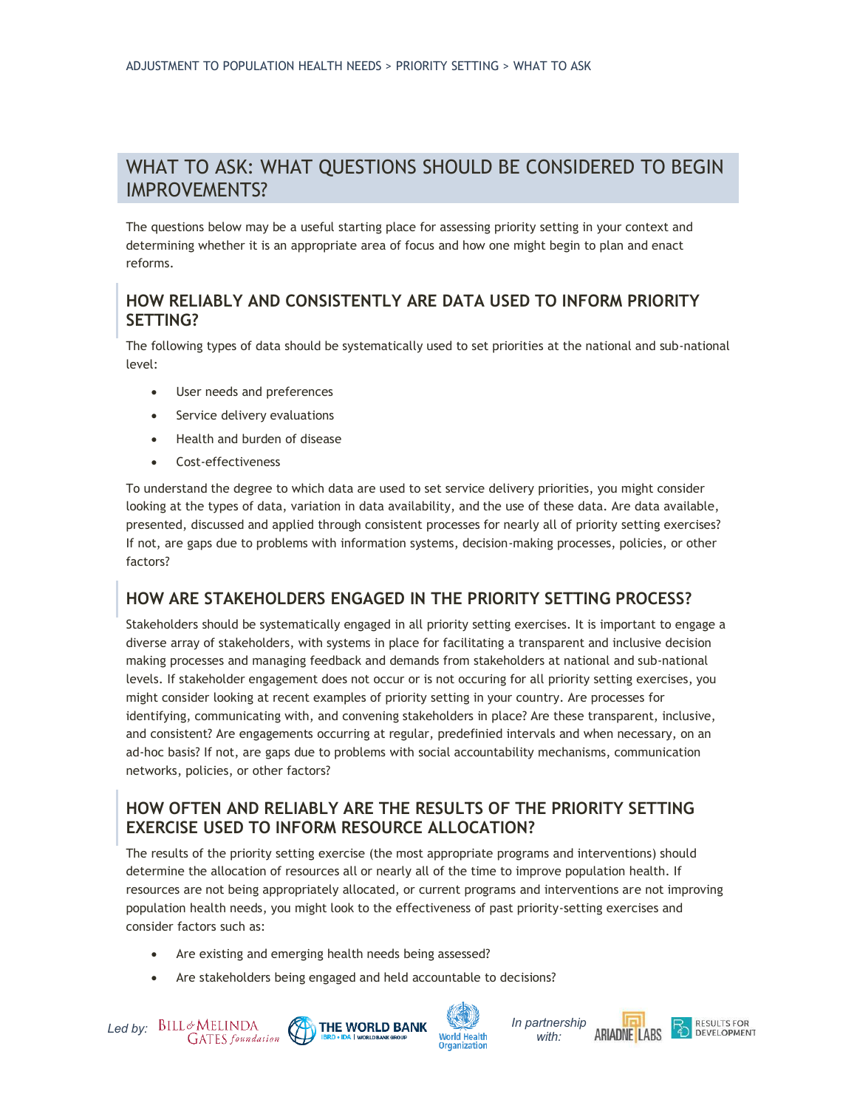## WHAT TO ASK: WHAT QUESTIONS SHOULD BE CONSIDERED TO BEGIN IMPROVEMENTS?

The questions below may be a useful starting place for assessing priority setting in your context and determining whether it is an appropriate area of focus and how one might begin to plan and enact reforms.

#### **HOW RELIABLY AND CONSISTENTLY ARE DATA USED TO INFORM PRIORITY SETTING?**

The following types of data should be systematically used to set priorities at the national and sub-national level:

- User needs and preferences
- Service delivery evaluations
- Health and burden of disease
- Cost-effectiveness

To understand the degree to which data are used to set service delivery priorities, you might consider looking at the types of data, variation in data availability, and the use of these data. Are data available, presented, discussed and applied through consistent processes for nearly all of priority setting exercises? If not, are gaps due to problems with information systems, decision-making processes, policies, or other factors?

## **HOW ARE STAKEHOLDERS ENGAGED IN THE PRIORITY SETTING PROCESS?**

Stakeholders should be systematically engaged in all priority setting exercises. It is important to engage a diverse array of stakeholders, with systems in place for facilitating a transparent and inclusive decision making processes and managing feedback and demands from stakeholders at national and sub-national levels. If stakeholder engagement does not occur or is not occuring for all priority setting exercises, you might consider looking at recent examples of priority setting in your country. Are processes for identifying, communicating with, and convening stakeholders in place? Are these transparent, inclusive, and consistent? Are engagements occurring at regular, predefinied intervals and when necessary, on an ad-hoc basis? If not, are gaps due to problems with social accountability mechanisms, communication networks, policies, or other factors?

#### **HOW OFTEN AND RELIABLY ARE THE RESULTS OF THE PRIORITY SETTING EXERCISE USED TO INFORM RESOURCE ALLOCATION?**

The results of the priority setting exercise (the most appropriate programs and interventions) should determine the allocation of resources all or nearly all of the time to improve population health. If resources are not being appropriately allocated, or current programs and interventions are not improving population health needs, you might look to the effectiveness of past priority-setting exercises and consider factors such as:

- Are existing and emerging health needs being assessed?
- Are stakeholders being engaged and held accountable to decisions?





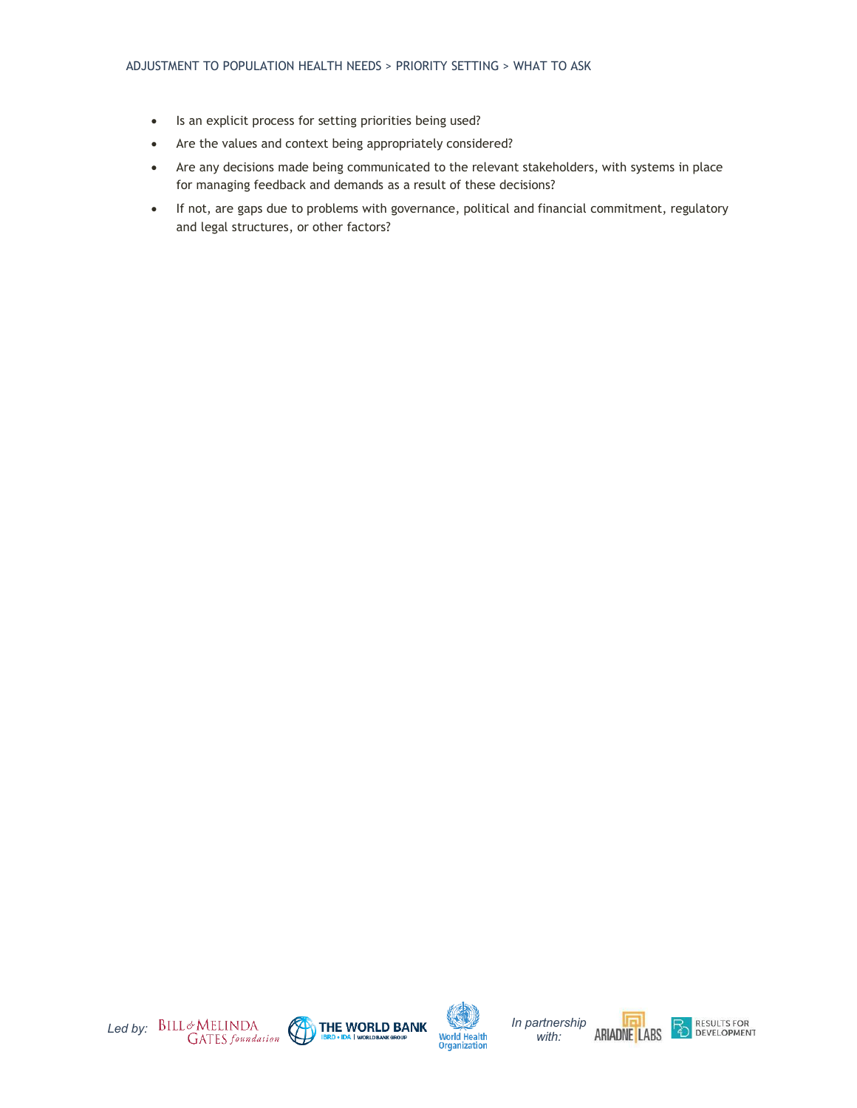- Is an explicit process for setting priorities being used?
- Are the values and context being appropriately considered?
- Are any decisions made being communicated to the relevant stakeholders, with systems in place for managing feedback and demands as a result of these decisions?
- If not, are gaps due to problems with governance, political and financial commitment, regulatory and legal structures, or other factors?







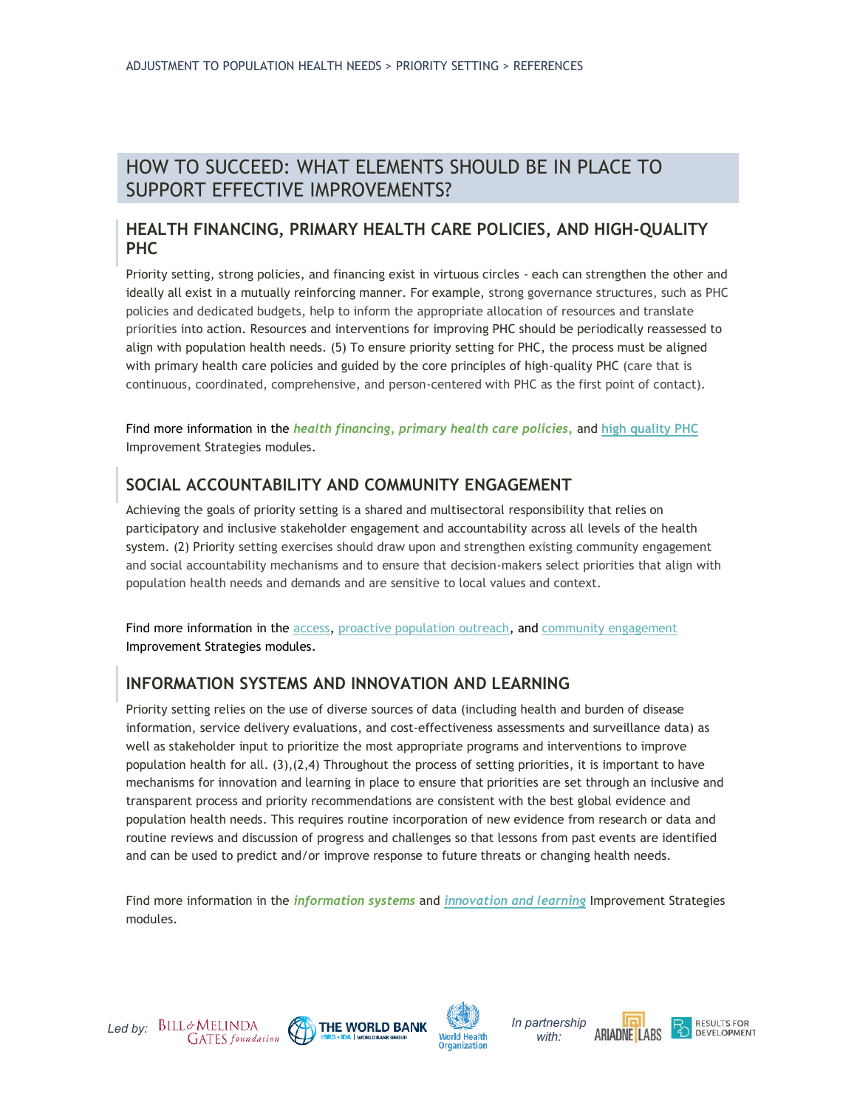## HOW TO SUCCEED: WHAT ELEMENTS SHOULD BE IN PLACE TO SUPPORT EFFECTIVE IMPROVEMENTS?

#### **HEALTH FINANCING, PRIMARY HEALTH CARE POLICIES, AND HIGH-QUALITY PHC**

Priority setting, strong policies, and financing exist in virtuous circles - each can strengthen the other and ideally all exist in a mutually reinforcing manner. For example, strong governance structures, such as PHC policies and dedicated budgets, help to inform the appropriate allocation of resources and translate priorities into action. Resources and interventions for improving PHC should be periodically reassessed to align with population health needs. [\(5\)](http://f1000.com/work/citation?ids=1628668&pre=&suf=&sa=0) To ensure priority setting for PHC, the process must be aligned with primary health care policies and guided by the core principles of high-quality PHC (care that is continuous, coordinated, comprehensive, and person-centered with PHC as the first point of contact).

Find more information in the *health financing, primary health care policies,* and **[high quality PHC](https://improvingphc.org/improvement-strategies/high-quality-primary-health-care)** Improvement Strategies modules.

## **SOCIAL ACCOUNTABILITY AND COMMUNITY ENGAGEMENT**

Achieving the goals of priority setting is a shared and multisectoral responsibility that relies on participatory and inclusive stakeholder engagement and accountability across all levels of the health system[. \(2\)](http://f1000.com/work/citation?ids=6226060&pre=&suf=&sa=0) Priority setting exercises should draw upon and strengthen existing community engagement and social accountability mechanisms and to ensure that decision-makers select priorities that align with population health needs and demands and are sensitive to local values and context.

Find more information in the [access,](https://improvingphc.org/improvement-strategies/access) [proactive population outreach,](https://improvingphc.org/improvement-strategies/population-health-management/proactive-population-outreach) and [community engagement](https://improvingphc.org/improvement-strategies/population-health-management/community-engagement) Improvement Strategies modules.

## **INFORMATION SYSTEMS AND INNOVATION AND LEARNING**

Priority setting relies on the use of diverse sources of data (including health and burden of disease information, service delivery evaluations, and cost-effectiveness assessments and surveillance data) as well as stakeholder input to prioritize the most appropriate programs and interventions to improve population health for all[. \(3\)](http://f1000.com/work/citation?ids=2354654&pre=&suf=&sa=0)[,\(2,4\)](http://f1000.com/work/citation?ids=2354648,6226060&pre=&pre=&suf=&suf=&sa=0,0) Throughout the process of setting priorities, it is important to have mechanisms for innovation and learning in place to ensure that priorities are set through an inclusive and transparent process and priority recommendations are consistent with the best global evidence and population health needs. This requires routine incorporation of new evidence from research or data and routine reviews and discussion of progress and challenges so that lessons from past events are identified and can be used to predict and/or improve response to future threats or changing health needs.

Find more information in the *information systems* and *[innovation and learning](https://improvingphc.org/improvement-strategies/adjustment-population-health-needs/innovation-learning)* Improvement Strategies modules.





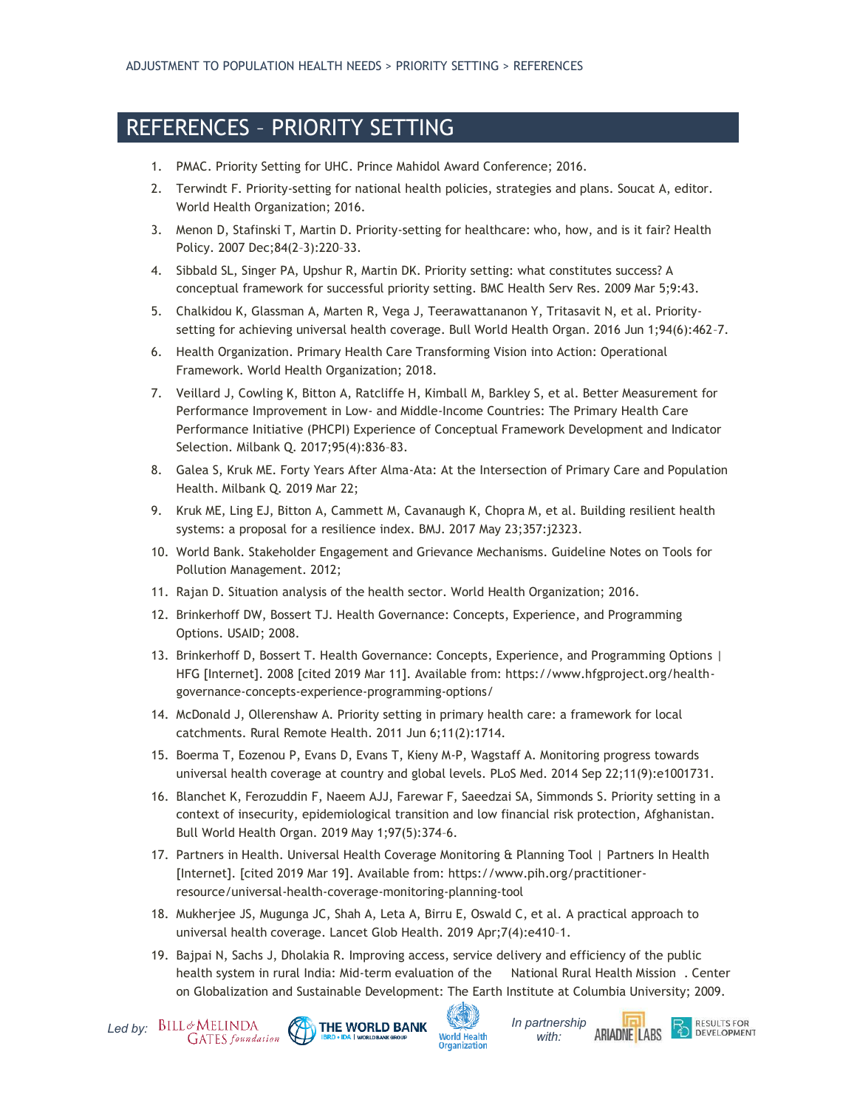# REFERENCES – PRIORITY SETTING

- 1. PMAC. Priority Setting for UHC. Prince Mahidol Award Conference; 2016.
- 2. Terwindt F. Priority-setting for national health policies, strategies and plans. Soucat A, editor. World Health Organization; 2016.
- 3. Menon D, Stafinski T, Martin D. Priority-setting for healthcare: who, how, and is it fair? Health Policy. 2007 Dec;84(2–3):220–33.
- 4. Sibbald SL, Singer PA, Upshur R, Martin DK. Priority setting: what constitutes success? A conceptual framework for successful priority setting. BMC Health Serv Res. 2009 Mar 5;9:43.
- 5. Chalkidou K, Glassman A, Marten R, Vega J, Teerawattananon Y, Tritasavit N, et al. Prioritysetting for achieving universal health coverage. Bull World Health Organ. 2016 Jun 1;94(6):462–7.
- 6. Health Organization. Primary Health Care Transforming Vision into Action: Operational Framework. World Health Organization; 2018.
- 7. Veillard J, Cowling K, Bitton A, Ratcliffe H, Kimball M, Barkley S, et al. Better Measurement for Performance Improvement in Low- and Middle-Income Countries: The Primary Health Care Performance Initiative (PHCPI) Experience of Conceptual Framework Development and Indicator Selection. Milbank Q. 2017;95(4):836–83.
- 8. Galea S, Kruk ME. Forty Years After Alma-Ata: At the Intersection of Primary Care and Population Health. Milbank Q. 2019 Mar 22;
- 9. Kruk ME, Ling EJ, Bitton A, Cammett M, Cavanaugh K, Chopra M, et al. Building resilient health systems: a proposal for a resilience index. BMJ. 2017 May 23;357:j2323.
- 10. World Bank. Stakeholder Engagement and Grievance Mechanisms. Guideline Notes on Tools for Pollution Management. 2012;
- 11. Rajan D. Situation analysis of the health sector. World Health Organization; 2016.
- 12. Brinkerhoff DW, Bossert TJ. Health Governance: Concepts, Experience, and Programming Options. USAID; 2008.
- 13. Brinkerhoff D, Bossert T. Health Governance: Concepts, Experience, and Programming Options | HFG [Internet]. 2008 [cited 2019 Mar 11]. Available from: https://www.hfgproject.org/healthgovernance-concepts-experience-programming-options/
- 14. McDonald J, Ollerenshaw A. Priority setting in primary health care: a framework for local catchments. Rural Remote Health. 2011 Jun 6;11(2):1714.
- 15. Boerma T, Eozenou P, Evans D, Evans T, Kieny M-P, Wagstaff A. Monitoring progress towards universal health coverage at country and global levels. PLoS Med. 2014 Sep 22;11(9):e1001731.
- 16. Blanchet K, Ferozuddin F, Naeem AJJ, Farewar F, Saeedzai SA, Simmonds S. Priority setting in a context of insecurity, epidemiological transition and low financial risk protection, Afghanistan. Bull World Health Organ. 2019 May 1;97(5):374–6.
- 17. Partners in Health. Universal Health Coverage Monitoring & Planning Tool | Partners In Health [Internet]. [cited 2019 Mar 19]. Available from: https://www.pih.org/practitionerresource/universal-health-coverage-monitoring-planning-tool
- 18. Mukherjee JS, Mugunga JC, Shah A, Leta A, Birru E, Oswald C, et al. A practical approach to universal health coverage. Lancet Glob Health. 2019 Apr;7(4):e410–1.
- 19. Bajpai N, Sachs J, Dholakia R. Improving access, service delivery and efficiency of the public health system in rural India: Mid-term evaluation of the National Rural Health Mission . Center on Globalization and Sustainable Development: The Earth Institute at Columbia University; 2009.